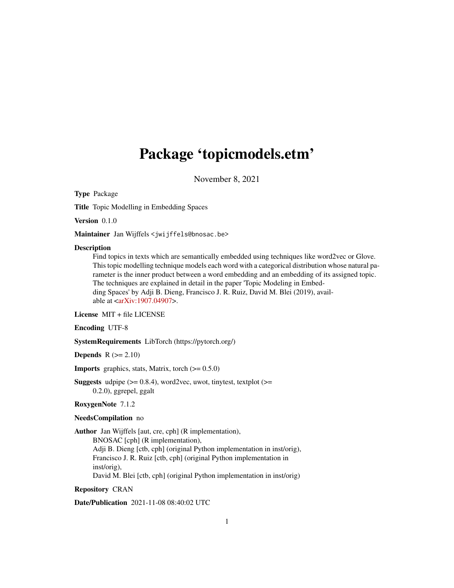## <span id="page-0-0"></span>Package 'topicmodels.etm'

November 8, 2021

Type Package

Title Topic Modelling in Embedding Spaces

Version 0.1.0

Maintainer Jan Wijffels <jwijffels@bnosac.be>

#### **Description**

Find topics in texts which are semantically embedded using techniques like word2vec or Glove. This topic modelling technique models each word with a categorical distribution whose natural parameter is the inner product between a word embedding and an embedding of its assigned topic. The techniques are explained in detail in the paper 'Topic Modeling in Embedding Spaces' by Adji B. Dieng, Francisco J. R. Ruiz, David M. Blei (2019), available at [<arXiv:1907.04907>](https://arxiv.org/abs/1907.04907).

#### License MIT + file LICENSE

Encoding UTF-8

SystemRequirements LibTorch (https://pytorch.org/)

Depends  $R (= 2.10)$ 

**Imports** graphics, stats, Matrix, torch  $(>= 0.5.0)$ 

**Suggests** udpipe  $(>= 0.8.4)$ , word2vec, uwot, tinytest, textplot  $(>= 0.8.4)$ 0.2.0), ggrepel, ggalt

#### RoxygenNote 7.1.2

#### NeedsCompilation no

Author Jan Wijffels [aut, cre, cph] (R implementation),

BNOSAC [cph] (R implementation), Adji B. Dieng [ctb, cph] (original Python implementation in inst/orig), Francisco J. R. Ruiz [ctb, cph] (original Python implementation in inst/orig), David M. Blei [ctb, cph] (original Python implementation in inst/orig)

#### Repository CRAN

Date/Publication 2021-11-08 08:40:02 UTC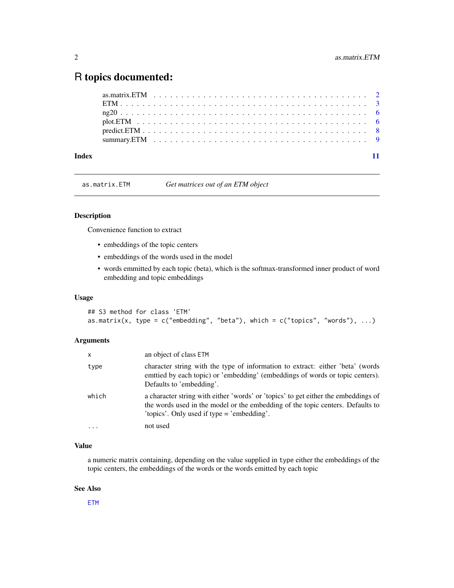### <span id="page-1-0"></span>R topics documented:

| Index |  |  |  |  |  |  |  |  |  |  |  |  |  |  |  |  |  |  |  |
|-------|--|--|--|--|--|--|--|--|--|--|--|--|--|--|--|--|--|--|--|

as.matrix.ETM *Get matrices out of an ETM object*

#### Description

Convenience function to extract

- embeddings of the topic centers
- embeddings of the words used in the model
- words emmitted by each topic (beta), which is the softmax-transformed inner product of word embedding and topic embeddings

#### Usage

```
## S3 method for class 'ETM'
as.matrix(x, type = c("embedding", "beta"), which = c("topics", "words"), ...)
```
#### Arguments

| X     | an object of class ETM                                                                                                                                                                                               |
|-------|----------------------------------------------------------------------------------------------------------------------------------------------------------------------------------------------------------------------|
| type  | character string with the type of information to extract: either 'beta' (words<br>emttied by each topic) or 'embedding' (embeddings of words or topic centers).<br>Defaults to 'embedding'.                          |
| which | a character string with either 'words' or 'topics' to get either the embeddings of<br>the words used in the model or the embedding of the topic centers. Defaults to<br>'topics'. Only used if type $=$ 'embedding'. |
|       | not used                                                                                                                                                                                                             |

#### Value

a numeric matrix containing, depending on the value supplied in type either the embeddings of the topic centers, the embeddings of the words or the words emitted by each topic

#### See Also

[ETM](#page-2-1)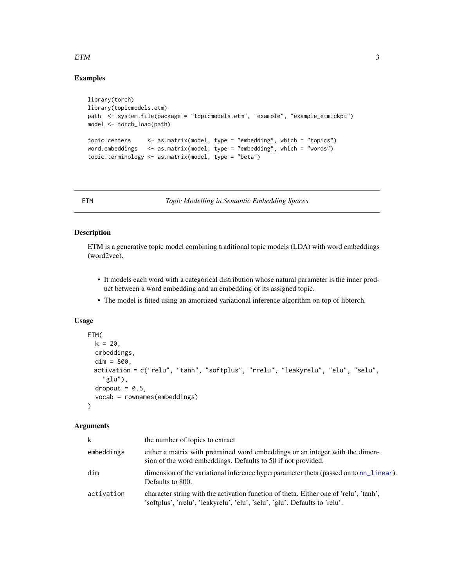#### <span id="page-2-0"></span> $ETM$  3

#### Examples

```
library(torch)
library(topicmodels.etm)
path <- system.file(package = "topicmodels.etm", "example", "example_etm.ckpt")
model <- torch_load(path)
topic.centers <- as.matrix(model, type = "embedding", which = "topics")
word.embeddings <- as.matrix(model, type = "embedding", which = "words")
topic.terminology <- as.matrix(model, type = "beta")
```
<span id="page-2-1"></span>

ETM *Topic Modelling in Semantic Embedding Spaces*

#### Description

ETM is a generative topic model combining traditional topic models (LDA) with word embeddings (word2vec).

- It models each word with a categorical distribution whose natural parameter is the inner product between a word embedding and an embedding of its assigned topic.
- The model is fitted using an amortized variational inference algorithm on top of libtorch.

#### Usage

```
ETM(
  k = 20,
  embeddings,
 dim = 800,activation = c("relu", "tanh", "softplus", "rrelu", "leakyrelu", "elu", "selu",
    "glu"),
  dropout = 0.5,
  vocab = rownames(embeddings)
```
#### Arguments

 $\lambda$ 

| k          | the number of topics to extract                                                                                                                                      |
|------------|----------------------------------------------------------------------------------------------------------------------------------------------------------------------|
| embeddings | either a matrix with pretrained word embeddings or an integer with the dimen-<br>sion of the word embeddings. Defaults to 50 if not provided.                        |
| dim        | dimension of the variational inference hyperparameter theta (passed on to nn_linear).<br>Defaults to 800.                                                            |
| activation | character string with the activation function of theta. Either one of 'relu', 'tanh',<br>'softplus', 'rrelu', 'leakyrelu', 'elu', 'selu', 'glu'. Defaults to 'relu'. |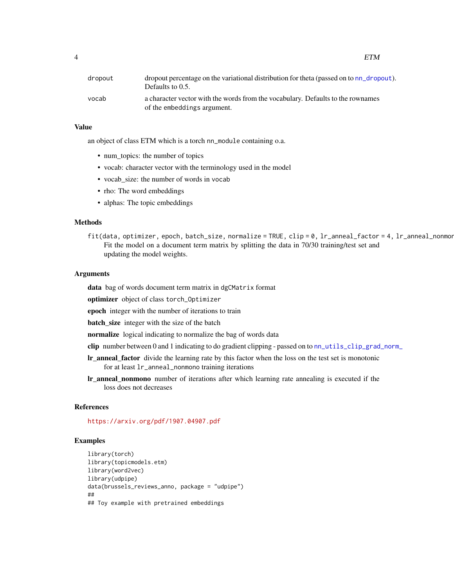<span id="page-3-0"></span>4 ETM

| dropout | dropout percentage on the variational distribution for theta (passed on to nn_dropout).<br>Defaults to $0.5$ . |
|---------|----------------------------------------------------------------------------------------------------------------|
| vocab   | a character vector with the words from the vocabulary. Defaults to the rownames<br>of the embeddings argument. |

#### Value

an object of class ETM which is a torch nn\_module containing o.a.

- num\_topics: the number of topics
- vocab: character vector with the terminology used in the model
- vocab\_size: the number of words in vocab
- rho: The word embeddings
- alphas: The topic embeddings

#### Methods

fit(data, optimizer, epoch, batch\_size, normalize = TRUE, clip = 0, lr\_anneal\_factor = 4, lr\_anneal\_nonmor Fit the model on a document term matrix by splitting the data in 70/30 training/test set and updating the model weights.

#### Arguments

data bag of words document term matrix in dgCMatrix format

optimizer object of class torch\_Optimizer

epoch integer with the number of iterations to train

**batch\_size** integer with the size of the batch

normalize logical indicating to normalize the bag of words data

- clip number between 0 and 1 indicating to do gradient clipping passed on to [nn\\_utils\\_clip\\_grad\\_norm\\_](#page-0-0)
- lr\_anneal\_factor divide the learning rate by this factor when the loss on the test set is monotonic for at least lr\_anneal\_nonmono training iterations
- lr\_anneal\_nonmono number of iterations after which learning rate annealing is executed if the loss does not decreases

#### References

<https://arxiv.org/pdf/1907.04907.pdf>

#### Examples

```
library(torch)
library(topicmodels.etm)
library(word2vec)
library(udpipe)
data(brussels_reviews_anno, package = "udpipe")
##
## Toy example with pretrained embeddings
```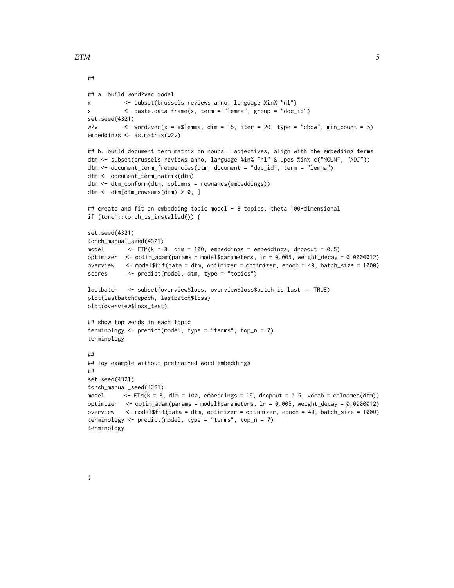##

```
## a. build word2vec model
x <- subset(brussels_reviews_anno, language %in% "nl")
x <- paste.data.frame(x, term = "lemma", group = "doc_id")
set.seed(4321)
w2v \le - word2vec(x = x$lemma, dim = 15, iter = 20, type = "cbow", min_count = 5)
embeddings <- as.matrix(w2v)
## b. build document term matrix on nouns + adjectives, align with the embedding terms
dtm <- subset(brussels_reviews_anno, language %in% "nl" & upos %in% c("NOUN", "ADJ"))
dtm <- document_term_frequencies(dtm, document = "doc_id", term = "lemma")
dtm <- document_term_matrix(dtm)
dtm <- dtm_conform(dtm, columns = rownames(embeddings))
dtm \leq dtm[dtm_rowsums(dtm) > 0, ]
## create and fit an embedding topic model - 8 topics, theta 100-dimensional
if (torch::torch_is_installed()) {
set.seed(4321)
torch_manual_seed(4321)
model \leq ETM(k = 8, dim = 100, embeddings = embeddings, dropout = 0.5)
optimizer <- optim_adam(params = model$parameters, lr = 0.005, weight_decay = 0.0000012)
overview <- model$fit(data = dtm, optimizer = optimizer, epoch = 40, batch_size = 1000)
scores <- predict(model, dtm, type = "topics")
lastbatch <- subset(overview$loss, overview$loss$batch_is_last == TRUE)
plot(lastbatch$epoch, lastbatch$loss)
plot(overview$loss_test)
## show top words in each topic
terminology \leq predict(model, type = "terms", top_n = 7)
terminology
##
## Toy example without pretrained word embeddings
##
set.seed(4321)
torch_manual_seed(4321)
model \leq ETM(k = 8, dim = 100, embeddings = 15, dropout = 0.5, vocab = colnames(dtm))
optimizer \leq - optim_adam(params = model$parameters, \ln = 0.005, weight_decay = 0.0000012)
overview <- model$fit(data = dtm, optimizer = optimizer, epoch = 40, batch_size = 1000)
terminology <- predict(model, type = "terms", top_n = 7)
terminology
```
}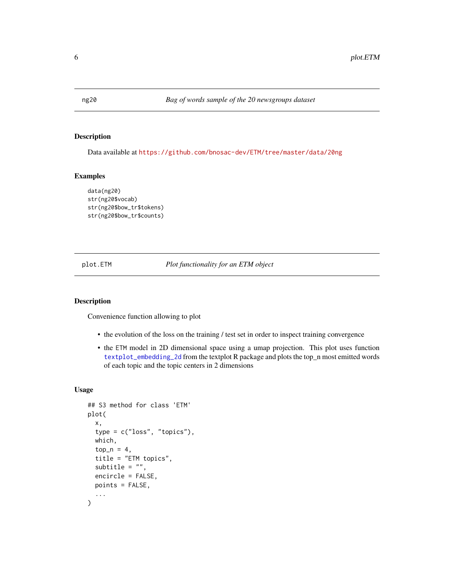<span id="page-5-0"></span>

#### Description

Data available at <https://github.com/bnosac-dev/ETM/tree/master/data/20ng>

#### Examples

```
data(ng20)
str(ng20$vocab)
str(ng20$bow_tr$tokens)
str(ng20$bow_tr$counts)
```
plot.ETM *Plot functionality for an ETM object*

#### Description

Convenience function allowing to plot

- the evolution of the loss on the training / test set in order to inspect training convergence
- the ETM model in 2D dimensional space using a umap projection. This plot uses function [textplot\\_embedding\\_2d](#page-0-0) from the textplot R package and plots the top\_n most emitted words of each topic and the topic centers in 2 dimensions

#### Usage

```
## S3 method for class 'ETM'
plot(
  x,
  type = c("loss", "topics"),
  which,
  top_n = 4,
  title = "ETM topics",
  subtitle = ",
  encircle = FALSE,
  points = FALSE,
  ...
\mathcal{E}
```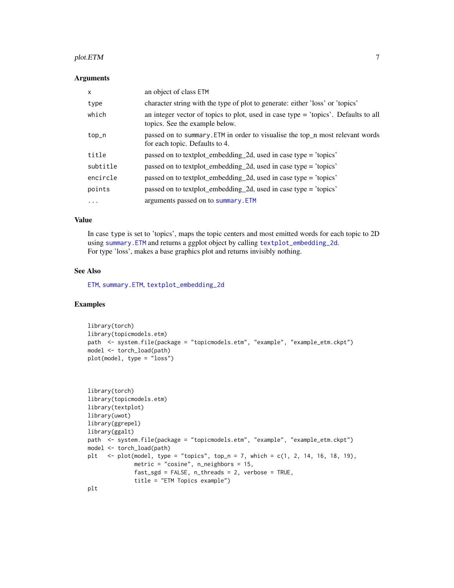#### <span id="page-6-0"></span>plot.ETM  $\hspace{1.5cm}$  7

#### Arguments

| X        | an object of class ETM                                                                                                 |
|----------|------------------------------------------------------------------------------------------------------------------------|
| type     | character string with the type of plot to generate: either 'loss' or 'topics'                                          |
| which    | an integer vector of topics to plot, used in case type $=$ 'topics'. Defaults to all<br>topics. See the example below. |
| top_n    | passed on to summary. ETM in order to visualise the top_n most relevant words<br>for each topic. Defaults to 4.        |
| title    | passed on to textplot_embedding_2d, used in case type = 'topics'                                                       |
| subtitle | passed on to textplot_embedding_2d, used in case type = 'topics'                                                       |
| encircle | passed on to textplot_embedding_2d, used in case type = 'topics'                                                       |
| points   | passed on to textplot_embedding_2d, used in case type = 'topics'                                                       |
| $\cdots$ | arguments passed on to summary. ETM                                                                                    |

#### Value

In case type is set to 'topics', maps the topic centers and most emitted words for each topic to 2D using [summary.ETM](#page-8-1) and returns a ggplot object by calling [textplot\\_embedding\\_2d](#page-0-0). For type 'loss', makes a base graphics plot and returns invisibly nothing.

#### See Also

[ETM](#page-2-1), [summary.ETM](#page-8-1), [textplot\\_embedding\\_2d](#page-0-0)

#### Examples

```
library(torch)
library(topicmodels.etm)
path <- system.file(package = "topicmodels.etm", "example", "example_etm.ckpt")
model <- torch_load(path)
plot(model, type = "loss")
```

```
library(torch)
library(topicmodels.etm)
library(textplot)
library(uwot)
library(ggrepel)
library(ggalt)
path <- system.file(package = "topicmodels.etm", "example", "example_etm.ckpt")
model <- torch_load(path)
plt \le plot(model, type = "topics", top_n = 7, which = c(1, 2, 14, 16, 18, 19),
             metric = "cosine", n_neighbors = 15,
              fast_sgd = FALSE, n_threads = 2, verbose = TRUE,
             title = "ETM Topics example")
plt
```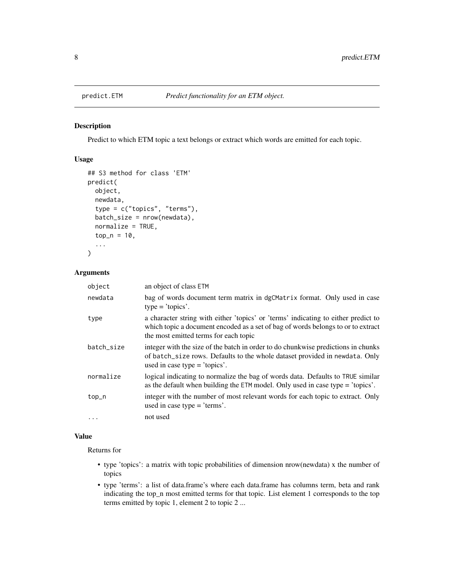<span id="page-7-1"></span><span id="page-7-0"></span>

#### Description

Predict to which ETM topic a text belongs or extract which words are emitted for each topic.

#### Usage

```
## S3 method for class 'ETM'
predict(
 object,
  newdata,
  type = c("topics", "terms"),
  batch_size = nrow(newdata),
  normalize = TRUE,
  top_n = 10,...
)
```
#### Arguments

| object     | an object of class ETM                                                                                                                                                                                          |
|------------|-----------------------------------------------------------------------------------------------------------------------------------------------------------------------------------------------------------------|
| newdata    | bag of words document term matrix in dgCMatrix format. Only used in case<br>$type = 'topics'.$                                                                                                                  |
| type       | a character string with either 'topics' or 'terms' indicating to either predict to<br>which topic a document encoded as a set of bag of words belongs to or to extract<br>the most emitted terms for each topic |
| batch_size | integer with the size of the batch in order to do chunkwise predictions in chunks<br>of batch_size rows. Defaults to the whole dataset provided in newdata. Only<br>used in case type $=$ 'topics'.             |
| normalize  | logical indicating to normalize the bag of words data. Defaults to TRUE similar<br>as the default when building the $ETM$ model. Only used in case type = 'topics'.                                             |
| top_n      | integer with the number of most relevant words for each topic to extract. Only<br>used in case type $=$ 'terms'.                                                                                                |
| .          | not used                                                                                                                                                                                                        |

#### Value

Returns for

- type 'topics': a matrix with topic probabilities of dimension nrow(newdata) x the number of topics
- type 'terms': a list of data.frame's where each data.frame has columns term, beta and rank indicating the top\_n most emitted terms for that topic. List element 1 corresponds to the top terms emitted by topic 1, element 2 to topic 2 ...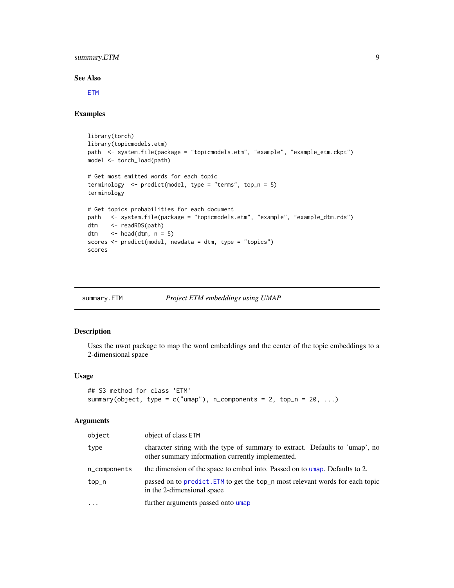#### <span id="page-8-0"></span>summary.ETM 9

#### See Also

**[ETM](#page-2-1)** 

#### Examples

```
library(torch)
library(topicmodels.etm)
path <- system.file(package = "topicmodels.etm", "example", "example_etm.ckpt")
model <- torch_load(path)
# Get most emitted words for each topic
terminology <- predict(model, type = "terms", top_n = 5)
terminology
# Get topics probabilities for each document
path <- system.file(package = "topicmodels.etm", "example", "example_dtm.rds")
dtm <- readRDS(path)
dtm \leq head(dtm, n = 5)
scores <- predict(model, newdata = dtm, type = "topics")
scores
```
<span id="page-8-1"></span>

#### summary.ETM *Project ETM embeddings using UMAP*

#### Description

Uses the uwot package to map the word embeddings and the center of the topic embeddings to a 2-dimensional space

#### Usage

```
## S3 method for class 'ETM'
summary(object, type = c("umap"), n_components = 2, top_n = 20, ...)
```
#### Arguments

| object       | object of class ETM                                                                                                              |
|--------------|----------------------------------------------------------------------------------------------------------------------------------|
| type         | character string with the type of summary to extract. Defaults to 'umap', no<br>other summary information currently implemented. |
| n_components | the dimension of the space to embed into. Passed on to umap. Defaults to 2.                                                      |
| top_n        | passed on to predict. ETM to get the top_n most relevant words for each topic<br>in the 2-dimensional space                      |
| $\ddotsc$    | further arguments passed onto umap                                                                                               |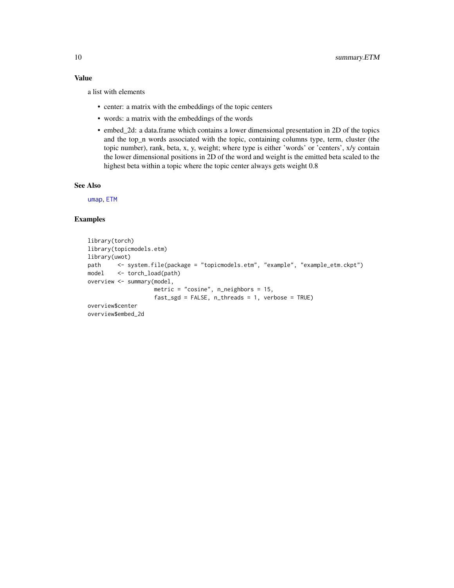#### <span id="page-9-0"></span>Value

a list with elements

- center: a matrix with the embeddings of the topic centers
- words: a matrix with the embeddings of the words
- embed\_2d: a data.frame which contains a lower dimensional presentation in 2D of the topics and the top\_n words associated with the topic, containing columns type, term, cluster (the topic number), rank, beta, x, y, weight; where type is either 'words' or 'centers', x/y contain the lower dimensional positions in 2D of the word and weight is the emitted beta scaled to the highest beta within a topic where the topic center always gets weight 0.8

#### See Also

[umap](#page-0-0), [ETM](#page-2-1)

#### Examples

```
library(torch)
library(topicmodels.etm)
library(uwot)
path <- system.file(package = "topicmodels.etm", "example", "example_etm.ckpt")
model <- torch_load(path)
overview <- summary(model,
                   metric = "cosine", n_neighbors = 15,
                   fast_sgd = FALSE, n_threads = 1, verbose = TRUE)
overview$center
overview$embed_2d
```